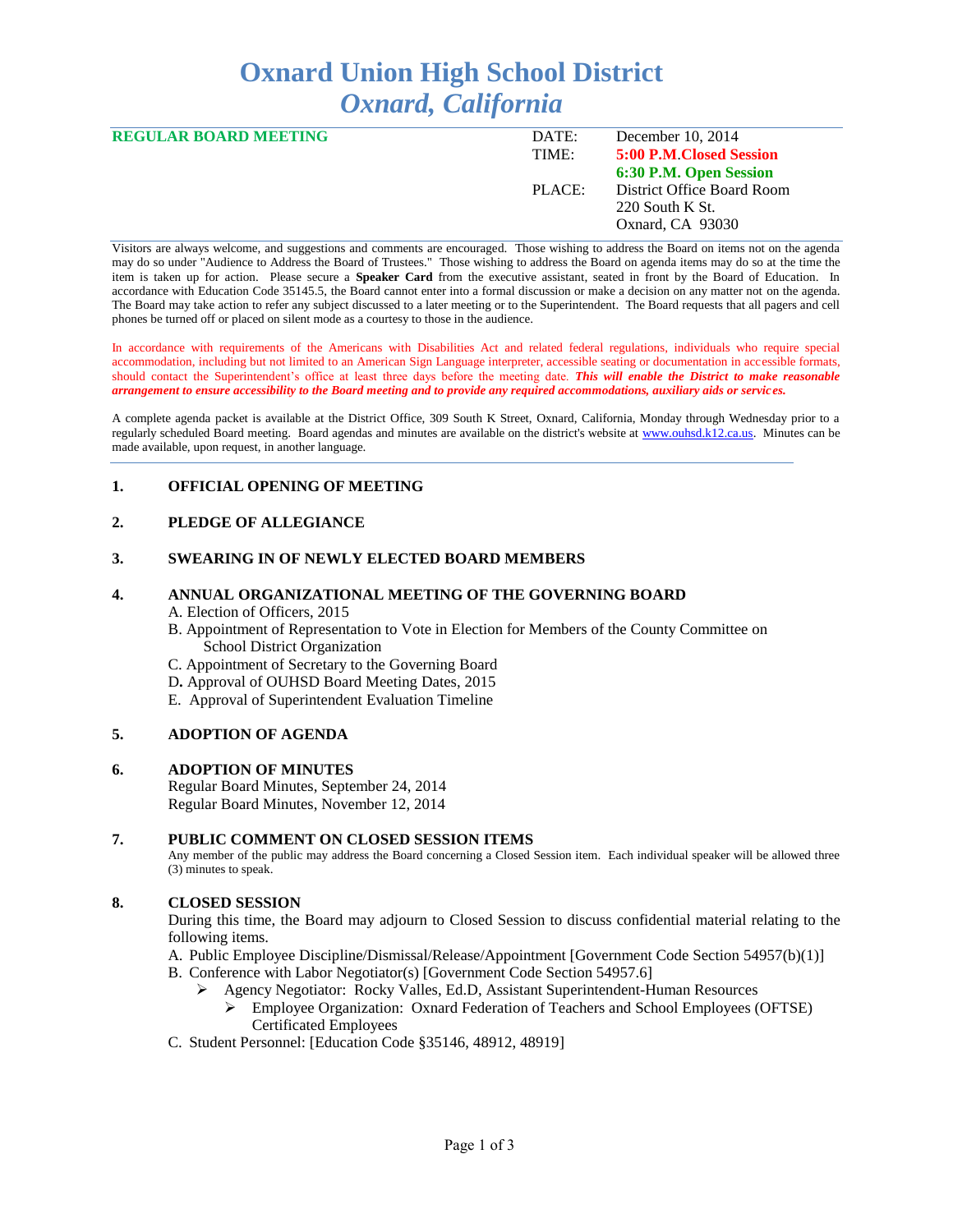# **Oxnard Union High School District** *Oxnard, California*

| <b>REGULAR BOARD MEETING</b> | DATE:  | December $10, 2014$        |
|------------------------------|--------|----------------------------|
|                              | TIME:  | 5:00 P.M. Closed Session   |
|                              |        | 6:30 P.M. Open Session     |
|                              | PLACE: | District Office Board Room |
|                              |        | 220 South K St.            |
|                              |        | Oxnard, CA 93030           |
|                              |        |                            |

Visitors are always welcome, and suggestions and comments are encouraged. Those wishing to address the Board on items not on the agenda may do so under "Audience to Address the Board of Trustees." Those wishing to address the Board on agenda items may do so at the time the item is taken up for action. Please secure a **Speaker Card** from the executive assistant, seated in front by the Board of Education. In accordance with Education Code 35145.5, the Board cannot enter into a formal discussion or make a decision on any matter not on the agenda. The Board may take action to refer any subject discussed to a later meeting or to the Superintendent. The Board requests that all pagers and cell phones be turned off or placed on silent mode as a courtesy to those in the audience.

In accordance with requirements of the Americans with Disabilities Act and related federal regulations, individuals who require special accommodation, including but not limited to an American Sign Language interpreter, accessible seating or documentation in accessible formats, should contact the Superintendent's office at least three days before the meeting date. *This will enable the District to make reasonable arrangement to ensure accessibility to the Board meeting and to provide any required accommodations, auxiliary aids or services.* 

A complete agenda packet is available at the District Office, 309 South K Street, Oxnard, California, Monday through Wednesday prior to a regularly scheduled Board meeting. Board agendas and minutes are available on the district's website at [www.ouhsd.k12.ca.us.](http://www.ouhsd.k12.ca.us/)Minutes can be made available, upon request, in another language.

# **1. OFFICIAL OPENING OF MEETING**

# **2. PLEDGE OF ALLEGIANCE**

#### **3. SWEARING IN OF NEWLY ELECTED BOARD MEMBERS**

#### **4. ANNUAL ORGANIZATIONAL MEETING OF THE GOVERNING BOARD**

#### A. Election of Officers, 2015

- B. Appointment of Representation to Vote in Election for Members of the County Committee on School District Organization
- C. Appointment of Secretary to the Governing Board
- D**.** Approval of OUHSD Board Meeting Dates, 2015
- E. Approval of Superintendent Evaluation Timeline

## **5. ADOPTION OF AGENDA**

#### **6. ADOPTION OF MINUTES**

Regular Board Minutes, September 24, 2014 Regular Board Minutes, November 12, 2014

#### **7. PUBLIC COMMENT ON CLOSED SESSION ITEMS**

Any member of the public may address the Board concerning a Closed Session item. Each individual speaker will be allowed three (3) minutes to speak.

## **8. CLOSED SESSION**

During this time, the Board may adjourn to Closed Session to discuss confidential material relating to the following items.

- A. Public Employee Discipline/Dismissal/Release/Appointment [Government Code Section 54957(b)(1)]
- B. Conference with Labor Negotiator(s) [Government Code Section 54957.6]
	- Agency Negotiator: Rocky Valles, Ed.D, Assistant Superintendent-Human Resources
		- Employee Organization: Oxnard Federation of Teachers and School Employees (OFTSE) Certificated Employees
- C. Student Personnel: [Education Code §35146, 48912, 48919]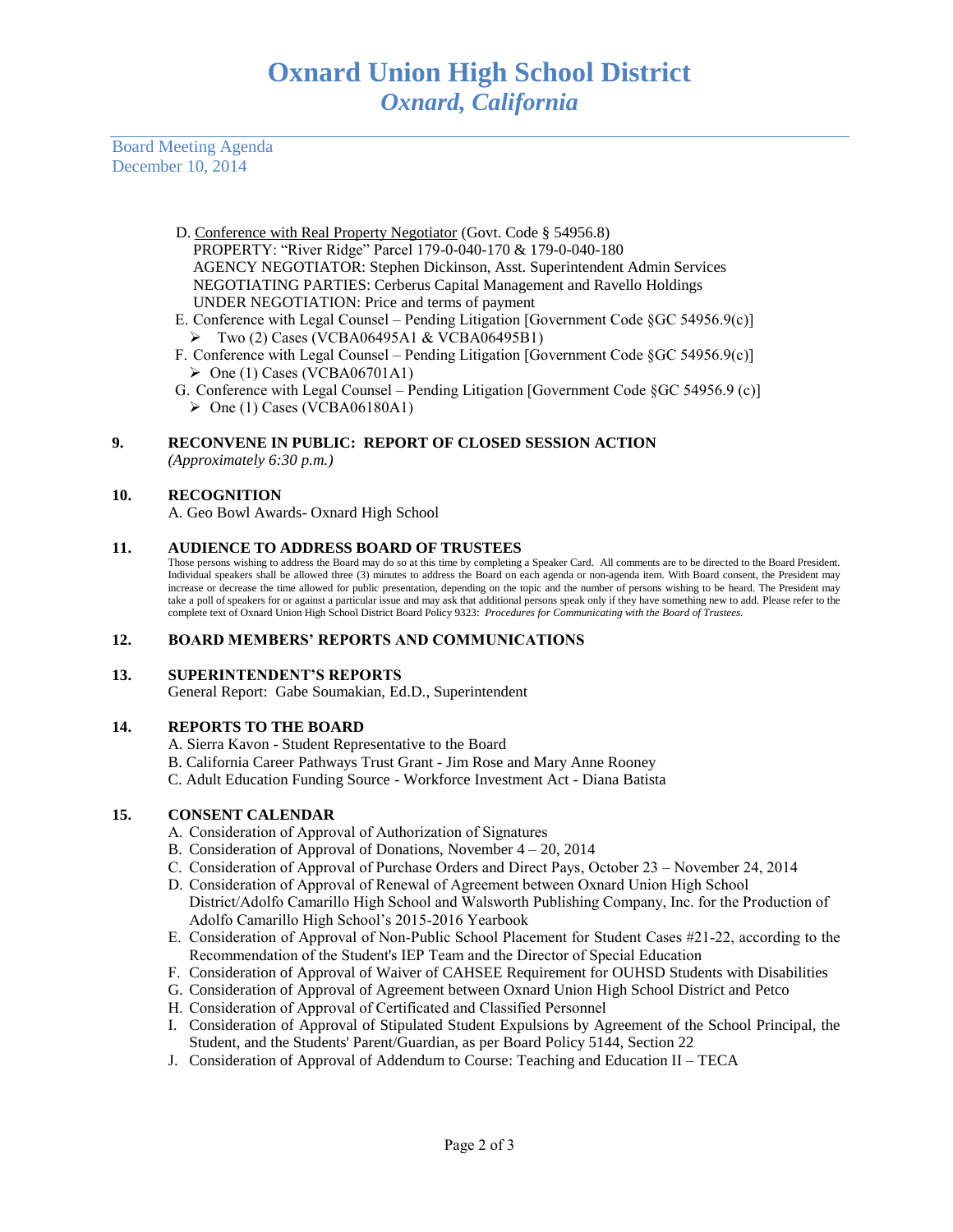Board Meeting Agenda December 10, 2014

- D. Conference with Real Property Negotiator (Govt. Code § 54956.8) PROPERTY: "River Ridge" Parcel 179-0-040-170 & 179-0-040-180 AGENCY NEGOTIATOR: Stephen Dickinson, Asst. Superintendent Admin Services NEGOTIATING PARTIES: Cerberus Capital Management and Ravello Holdings UNDER NEGOTIATION: Price and terms of payment
- E. Conference with Legal Counsel Pending Litigation [Government Code §GC 54956.9(c)]  $\triangleright$  Two (2) Cases (VCBA06495A1 & VCBA06495B1)
- F. Conference with Legal Counsel Pending Litigation [Government Code §GC 54956.9(c)]  $\triangleright$  One (1) Cases (VCBA06701A1)
- G. Conference with Legal Counsel Pending Litigation [Government Code §GC 54956.9 (c)]  $\triangleright$  One (1) Cases (VCBA06180A1)

# **9. RECONVENE IN PUBLIC: REPORT OF CLOSED SESSION ACTION**

*(Approximately 6:30 p.m.)*

## **10. RECOGNITION**

A. Geo Bowl Awards- Oxnard High School

## **11. AUDIENCE TO ADDRESS BOARD OF TRUSTEES**

Those persons wishing to address the Board may do so at this time by completing a Speaker Card. All comments are to be directed to the Board President. Individual speakers shall be allowed three (3) minutes to address the Board on each agenda or non-agenda item. With Board consent, the President may increase or decrease the time allowed for public presentation, depending on the topic and the number of persons wishing to be heard. The President may take a poll of speakers for or against a particular issue and may ask that additional persons speak only if they have something new to add. Please refer to the complete text of Oxnard Union High School District Board Policy 9323: *Procedures for Communicating with the Board of Trustees.*

## **12. BOARD MEMBERS' REPORTS AND COMMUNICATIONS**

## **13. SUPERINTENDENT'S REPORTS**

General Report: Gabe Soumakian, Ed.D., Superintendent

## **14. REPORTS TO THE BOARD**

- A. Sierra Kavon Student Representative to the Board
- B. California Career Pathways Trust Grant Jim Rose and Mary Anne Rooney
- C. Adult Education Funding Source Workforce Investment Act Diana Batista

# **15. CONSENT CALENDAR**

- A. Consideration of Approval of Authorization of Signatures
- B. Consideration of Approval of Donations, November 4 20, 2014
- C. Consideration of Approval of Purchase Orders and Direct Pays, October 23 November 24, 2014
- D. Consideration of Approval of Renewal of Agreement between Oxnard Union High School District/Adolfo Camarillo High School and Walsworth Publishing Company, Inc. for the Production of Adolfo Camarillo High School's 2015-2016 Yearbook
- E. Consideration of Approval of Non-Public School Placement for Student Cases #21-22, according to the Recommendation of the Student's IEP Team and the Director of Special Education
- F. Consideration of Approval of Waiver of CAHSEE Requirement for OUHSD Students with Disabilities
- G. Consideration of Approval of Agreement between Oxnard Union High School District and Petco
- H. Consideration of Approval of Certificated and Classified Personnel
- I. Consideration of Approval of Stipulated Student Expulsions by Agreement of the School Principal, the Student, and the Students' Parent/Guardian, as per Board Policy 5144, Section 22
- J. Consideration of Approval of Addendum to Course: Teaching and Education II TECA